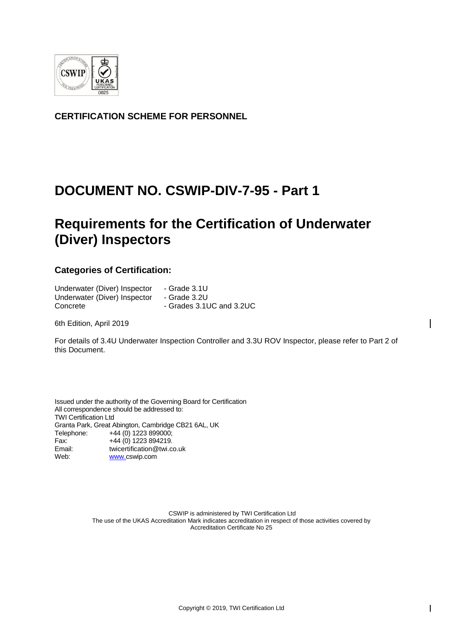

**CERTIFICATION SCHEME FOR PERSONNEL**

## **DOCUMENT NO. CSWIP-DIV-7-95 - Part 1**

# **Requirements for the Certification of Underwater (Diver) Inspectors**

## **Categories of Certification:**

| Underwater (Diver) Inspector | - Grade 3.1U             |
|------------------------------|--------------------------|
| Underwater (Diver) Inspector | - Grade 3.2U             |
| Concrete                     | - Grades 3.1UC and 3.2UC |

6th Edition, April 2019

For details of 3.4U Underwater Inspection Controller and 3.3U ROV Inspector, please refer to Part 2 of this Document.

Issued under the authority of the Governing Board for Certification All correspondence should be addressed to: TWI Certification Ltd Granta Park, Great Abington, Cambridge CB21 6AL, UK Telephone: +44 (0) 1223 899000; Fax: +44 (0) 1223 894219. Email: [twicertification@twi.co.uk](mailto:twicertification@twi.co.uk)<br>Web: www.cswip.com [www.c](file://///ENNIS/CTL/16-%20REQUIREMENT%20DOCUMENTS/CSWIP-%20WELDING%20CATEGORY/CSWIP%20DIVING%20ROV/www.)swip.com

> CSWIP is administered by TWI Certification Ltd The use of the UKAS Accreditation Mark indicates accreditation in respect of those activities covered by Accreditation Certificate No 25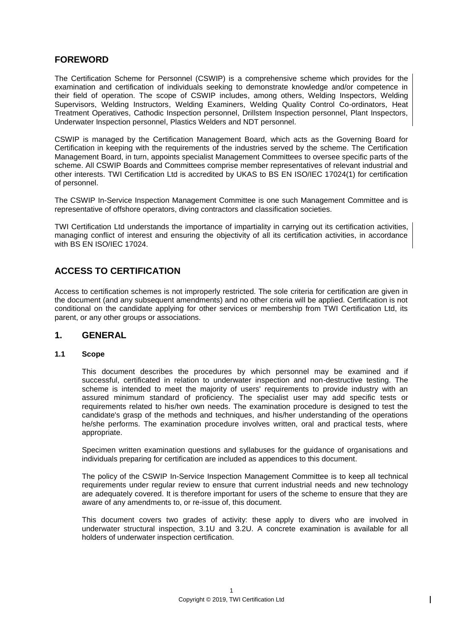## **FOREWORD**

The Certification Scheme for Personnel (CSWIP) is a comprehensive scheme which provides for the examination and certification of individuals seeking to demonstrate knowledge and/or competence in their field of operation. The scope of CSWIP includes, among others, Welding Inspectors, Welding Supervisors, Welding Instructors, Welding Examiners, Welding Quality Control Co-ordinators, Heat Treatment Operatives, Cathodic Inspection personnel, Drillstem Inspection personnel, Plant Inspectors, Underwater Inspection personnel, Plastics Welders and NDT personnel.

CSWIP is managed by the Certification Management Board, which acts as the Governing Board for Certification in keeping with the requirements of the industries served by the scheme. The Certification Management Board, in turn, appoints specialist Management Committees to oversee specific parts of the scheme. All CSWIP Boards and Committees comprise member representatives of relevant industrial and other interests. TWI Certification Ltd is accredited by UKAS to BS EN ISO/IEC 17024(1) for certification of personnel.

The CSWIP In-Service Inspection Management Committee is one such Management Committee and is representative of offshore operators, diving contractors and classification societies.

TWI Certification Ltd understands the importance of impartiality in carrying out its certification activities, managing conflict of interest and ensuring the objectivity of all its certification activities, in accordance with BS EN ISO/IEC 17024.

## **ACCESS TO CERTIFICATION**

Access to certification schemes is not improperly restricted. The sole criteria for certification are given in the document (and any subsequent amendments) and no other criteria will be applied. Certification is not conditional on the candidate applying for other services or membership from TWI Certification Ltd, its parent, or any other groups or associations.

#### **1. GENERAL**

#### **1.1 Scope**

This document describes the procedures by which personnel may be examined and if successful, certificated in relation to underwater inspection and non-destructive testing. The scheme is intended to meet the majority of users' requirements to provide industry with an assured minimum standard of proficiency. The specialist user may add specific tests or requirements related to his/her own needs. The examination procedure is designed to test the candidate's grasp of the methods and techniques, and his/her understanding of the operations he/she performs. The examination procedure involves written, oral and practical tests, where appropriate.

Specimen written examination questions and syllabuses for the guidance of organisations and individuals preparing for certification are included as appendices to this document.

The policy of the CSWIP In-Service Inspection Management Committee is to keep all technical requirements under regular review to ensure that current industrial needs and new technology are adequately covered. It is therefore important for users of the scheme to ensure that they are aware of any amendments to, or re-issue of, this document.

This document covers two grades of activity: these apply to divers who are involved in underwater structural inspection, 3.1U and 3.2U. A concrete examination is available for all holders of underwater inspection certification.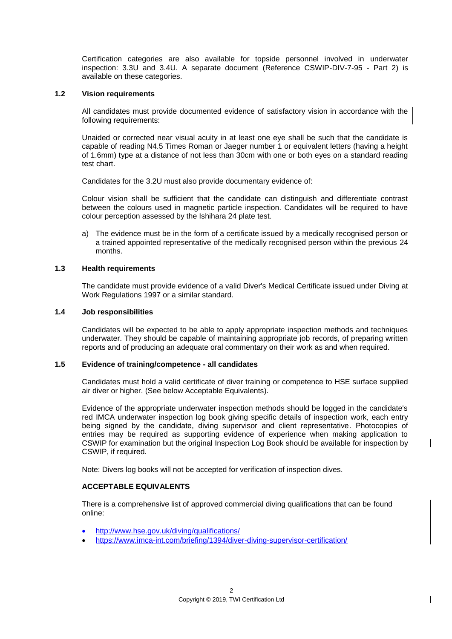Certification categories are also available for topside personnel involved in underwater inspection: 3.3U and 3.4U. A separate document (Reference CSWIP-DIV-7-95 - Part 2) is available on these categories.

#### **1.2 Vision requirements**

All candidates must provide documented evidence of satisfactory vision in accordance with the following requirements:

Unaided or corrected near visual acuity in at least one eye shall be such that the candidate is capable of reading N4.5 Times Roman or Jaeger number 1 or equivalent letters (having a height of 1.6mm) type at a distance of not less than 30cm with one or both eyes on a standard reading test chart.

Candidates for the 3.2U must also provide documentary evidence of:

Colour vision shall be sufficient that the candidate can distinguish and differentiate contrast between the colours used in magnetic particle inspection. Candidates will be required to have colour perception assessed by the Ishihara 24 plate test.

a) The evidence must be in the form of a certificate issued by a medically recognised person or a trained appointed representative of the medically recognised person within the previous 24 months.

#### **1.3 Health requirements**

The candidate must provide evidence of a valid Diver's Medical Certificate issued under Diving at Work Regulations 1997 or a similar standard.

#### **1.4 Job responsibilities**

Candidates will be expected to be able to apply appropriate inspection methods and techniques underwater. They should be capable of maintaining appropriate job records, of preparing written reports and of producing an adequate oral commentary on their work as and when required.

#### **1.5 Evidence of training/competence - all candidates**

Candidates must hold a valid certificate of diver training or competence to HSE surface supplied air diver or higher. (See below Acceptable Equivalents).

Evidence of the appropriate underwater inspection methods should be logged in the candidate's red IMCA underwater inspection log book giving specific details of inspection work, each entry being signed by the candidate, diving supervisor and client representative. Photocopies of entries may be required as supporting evidence of experience when making application to CSWIP for examination but the original Inspection Log Book should be available for inspection by CSWIP, if required.

Note: Divers log books will not be accepted for verification of inspection dives.

#### **ACCEPTABLE EQUIVALENTS**

There is a comprehensive list of approved commercial diving qualifications that can be found online:

- <http://www.hse.gov.uk/diving/qualifications/>
- <https://www.imca-int.com/briefing/1394/diver-diving-supervisor-certification/>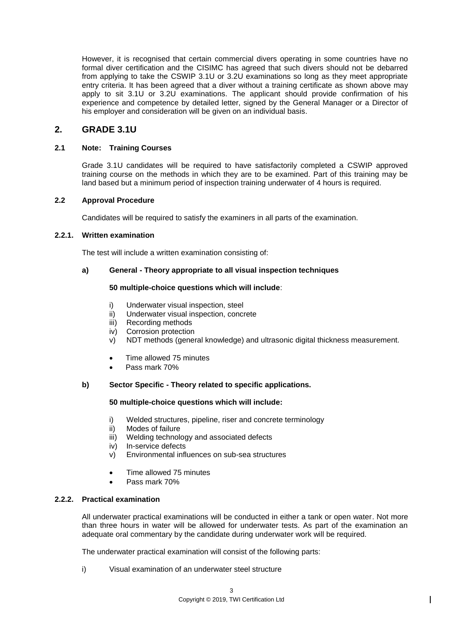However, it is recognised that certain commercial divers operating in some countries have no formal diver certification and the CISIMC has agreed that such divers should not be debarred from applying to take the CSWIP 3.1U or 3.2U examinations so long as they meet appropriate entry criteria. It has been agreed that a diver without a training certificate as shown above may apply to sit 3.1U or 3.2U examinations. The applicant should provide confirmation of his experience and competence by detailed letter, signed by the General Manager or a Director of his employer and consideration will be given on an individual basis.

## **2. GRADE 3.1U**

#### **2.1 Note: Training Courses**

Grade 3.1U candidates will be required to have satisfactorily completed a CSWIP approved training course on the methods in which they are to be examined. Part of this training may be land based but a minimum period of inspection training underwater of 4 hours is required.

#### **2.2 Approval Procedure**

Candidates will be required to satisfy the examiners in all parts of the examination.

#### **2.2.1. Written examination**

The test will include a written examination consisting of:

#### **a) General - Theory appropriate to all visual inspection techniques**

#### **50 multiple-choice questions which will include**:

- i) Underwater visual inspection, steel
- ii) Underwater visual inspection, concrete
- iii) Recording methods
- iv) Corrosion protection
- v) NDT methods (general knowledge) and ultrasonic digital thickness measurement.
- Time allowed 75 minutes
- Pass mark 70%

#### **b) Sector Specific - Theory related to specific applications.**

#### **50 multiple-choice questions which will include:**

- i) Welded structures, pipeline, riser and concrete terminology
- ii) Modes of failure
- iii) Welding technology and associated defects
- iv) In-service defects
- v) Environmental influences on sub-sea structures
- Time allowed 75 minutes
- Pass mark 70%

#### **2.2.2. Practical examination**

All underwater practical examinations will be conducted in either a tank or open water. Not more than three hours in water will be allowed for underwater tests. As part of the examination an adequate oral commentary by the candidate during underwater work will be required.

The underwater practical examination will consist of the following parts:

i) Visual examination of an underwater steel structure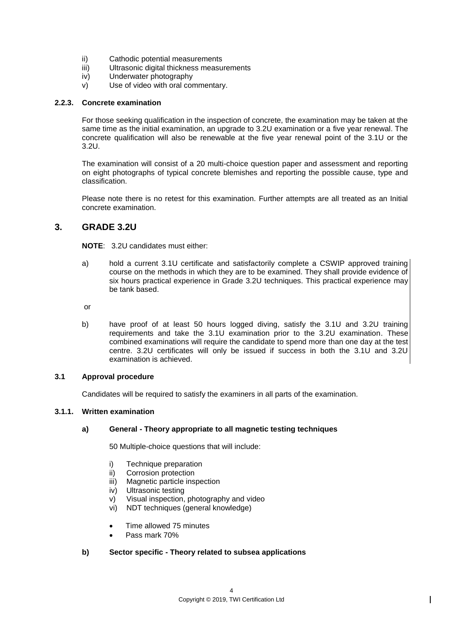- ii) Cathodic potential measurements
- iii) Ultrasonic digital thickness measurements
- iv) Underwater photography
- v) Use of video with oral commentary.

#### **2.2.3. Concrete examination**

For those seeking qualification in the inspection of concrete, the examination may be taken at the same time as the initial examination, an upgrade to 3.2U examination or a five year renewal. The concrete qualification will also be renewable at the five year renewal point of the 3.1U or the 3.2U.

The examination will consist of a 20 multi-choice question paper and assessment and reporting on eight photographs of typical concrete blemishes and reporting the possible cause, type and classification.

Please note there is no retest for this examination. Further attempts are all treated as an Initial concrete examination.

## **3. GRADE 3.2U**

**NOTE**: 3.2U candidates must either:

a) hold a current 3.1U certificate and satisfactorily complete a CSWIP approved training course on the methods in which they are to be examined. They shall provide evidence of six hours practical experience in Grade 3.2U techniques. This practical experience may be tank based.

or

b) have proof of at least 50 hours logged diving, satisfy the 3.1U and 3.2U training requirements and take the 3.1U examination prior to the 3.2U examination. These combined examinations will require the candidate to spend more than one day at the test centre. 3.2U certificates will only be issued if success in both the 3.1U and 3.2U examination is achieved.

#### **3.1 Approval procedure**

Candidates will be required to satisfy the examiners in all parts of the examination.

#### **3.1.1. Written examination**

#### **a) General - Theory appropriate to all magnetic testing techniques**

50 Multiple-choice questions that will include:

- i) Technique preparation
- ii) Corrosion protection
- iii) Magnetic particle inspection
- iv) Ultrasonic testing
- v) Visual inspection, photography and video
- vi) NDT techniques (general knowledge)
- Time allowed 75 minutes
- Pass mark 70%

#### **b) Sector specific - Theory related to subsea applications**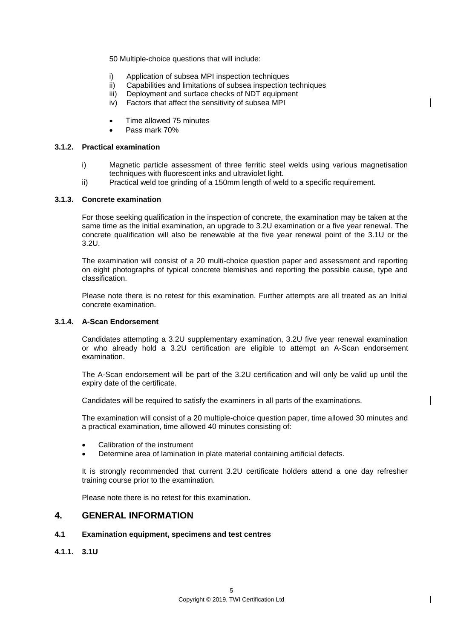50 Multiple-choice questions that will include:

- i) Application of subsea MPI inspection techniques
- ii) Capabilities and limitations of subsea inspection techniques
- iii) Deployment and surface checks of NDT equipment
- iv) Factors that affect the sensitivity of subsea MPI
- Time allowed 75 minutes
- Pass mark 70%

#### **3.1.2. Practical examination**

- i) Magnetic particle assessment of three ferritic steel welds using various magnetisation techniques with fluorescent inks and ultraviolet light.
- ii) Practical weld toe grinding of a 150mm length of weld to a specific requirement.

#### **3.1.3. Concrete examination**

For those seeking qualification in the inspection of concrete, the examination may be taken at the same time as the initial examination, an upgrade to 3.2U examination or a five year renewal. The concrete qualification will also be renewable at the five year renewal point of the 3.1U or the 3.2U.

The examination will consist of a 20 multi-choice question paper and assessment and reporting on eight photographs of typical concrete blemishes and reporting the possible cause, type and classification.

Please note there is no retest for this examination. Further attempts are all treated as an Initial concrete examination.

#### **3.1.4. A-Scan Endorsement**

Candidates attempting a 3.2U supplementary examination, 3.2U five year renewal examination or who already hold a 3.2U certification are eligible to attempt an A-Scan endorsement examination.

The A-Scan endorsement will be part of the 3.2U certification and will only be valid up until the expiry date of the certificate.

Candidates will be required to satisfy the examiners in all parts of the examinations.

The examination will consist of a 20 multiple-choice question paper, time allowed 30 minutes and a practical examination, time allowed 40 minutes consisting of:

- Calibration of the instrument
- Determine area of lamination in plate material containing artificial defects.

It is strongly recommended that current 3.2U certificate holders attend a one day refresher training course prior to the examination.

Please note there is no retest for this examination.

#### **4. GENERAL INFORMATION**

#### **4.1 Examination equipment, specimens and test centres**

**4.1.1. 3.1U**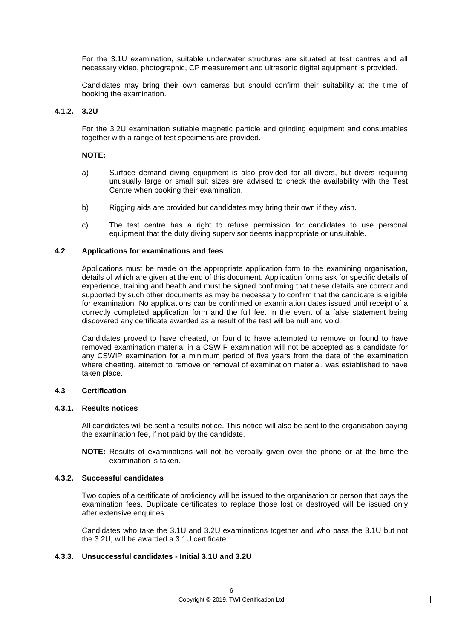For the 3.1U examination, suitable underwater structures are situated at test centres and all necessary video, photographic, CP measurement and ultrasonic digital equipment is provided.

Candidates may bring their own cameras but should confirm their suitability at the time of booking the examination.

#### **4.1.2. 3.2U**

For the 3.2U examination suitable magnetic particle and grinding equipment and consumables together with a range of test specimens are provided.

#### **NOTE:**

- a) Surface demand diving equipment is also provided for all divers, but divers requiring unusually large or small suit sizes are advised to check the availability with the Test Centre when booking their examination.
- b) Rigging aids are provided but candidates may bring their own if they wish.
- c) The test centre has a right to refuse permission for candidates to use personal equipment that the duty diving supervisor deems inappropriate or unsuitable.

#### **4.2 Applications for examinations and fees**

Applications must be made on the appropriate application form to the examining organisation, details of which are given at the end of this document. Application forms ask for specific details of experience, training and health and must be signed confirming that these details are correct and supported by such other documents as may be necessary to confirm that the candidate is eligible for examination. No applications can be confirmed or examination dates issued until receipt of a correctly completed application form and the full fee. In the event of a false statement being discovered any certificate awarded as a result of the test will be null and void.

Candidates proved to have cheated, or found to have attempted to remove or found to have removed examination material in a CSWIP examination will not be accepted as a candidate for any CSWIP examination for a minimum period of five years from the date of the examination where cheating, attempt to remove or removal of examination material, was established to have taken place.

#### **4.3 Certification**

#### **4.3.1. Results notices**

All candidates will be sent a results notice. This notice will also be sent to the organisation paying the examination fee, if not paid by the candidate.

**NOTE:** Results of examinations will not be verbally given over the phone or at the time the examination is taken.

#### **4.3.2. Successful candidates**

Two copies of a certificate of proficiency will be issued to the organisation or person that pays the examination fees. Duplicate certificates to replace those lost or destroyed will be issued only after extensive enquiries.

Candidates who take the 3.1U and 3.2U examinations together and who pass the 3.1U but not the 3.2U, will be awarded a 3.1U certificate.

#### **4.3.3. Unsuccessful candidates - Initial 3.1U and 3.2U**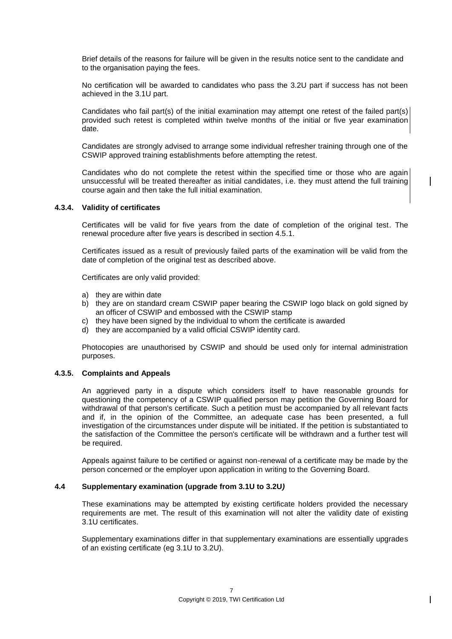Brief details of the reasons for failure will be given in the results notice sent to the candidate and to the organisation paying the fees.

No certification will be awarded to candidates who pass the 3.2U part if success has not been achieved in the 3.1U part.

Candidates who fail part(s) of the initial examination may attempt one retest of the failed part(s) provided such retest is completed within twelve months of the initial or five year examination date.

Candidates are strongly advised to arrange some individual refresher training through one of the CSWIP approved training establishments before attempting the retest.

Candidates who do not complete the retest within the specified time or those who are again unsuccessful will be treated thereafter as initial candidates, i.e. they must attend the full training course again and then take the full initial examination.

#### **4.3.4. Validity of certificates**

Certificates will be valid for five years from the date of completion of the original test. The renewal procedure after five years is described in section 4.5.1.

Certificates issued as a result of previously failed parts of the examination will be valid from the date of completion of the original test as described above.

Certificates are only valid provided:

- a) they are within date
- b) they are on standard cream CSWIP paper bearing the CSWIP logo black on gold signed by an officer of CSWIP and embossed with the CSWIP stamp
- c) they have been signed by the individual to whom the certificate is awarded
- d) they are accompanied by a valid official CSWIP identity card.

Photocopies are unauthorised by CSWIP and should be used only for internal administration purposes.

#### **4.3.5. Complaints and Appeals**

An aggrieved party in a dispute which considers itself to have reasonable grounds for questioning the competency of a CSWIP qualified person may petition the Governing Board for withdrawal of that person's certificate. Such a petition must be accompanied by all relevant facts and if, in the opinion of the Committee, an adequate case has been presented, a full investigation of the circumstances under dispute will be initiated. If the petition is substantiated to the satisfaction of the Committee the person's certificate will be withdrawn and a further test will be required.

Appeals against failure to be certified or against non-renewal of a certificate may be made by the person concerned or the employer upon application in writing to the Governing Board.

#### **4.4 Supplementary examination (upgrade from 3.1U to 3.2U***)*

These examinations may be attempted by existing certificate holders provided the necessary requirements are met. The result of this examination will not alter the validity date of existing 3.1U certificates.

Supplementary examinations differ in that supplementary examinations are essentially upgrades of an existing certificate (eg 3.1U to 3.2U).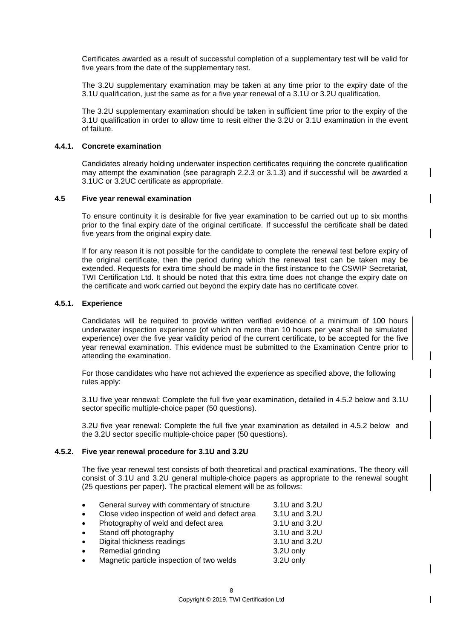Certificates awarded as a result of successful completion of a supplementary test will be valid for five years from the date of the supplementary test.

The 3.2U supplementary examination may be taken at any time prior to the expiry date of the 3.1U qualification, just the same as for a five year renewal of a 3.1U or 3.2U qualification.

The 3.2U supplementary examination should be taken in sufficient time prior to the expiry of the 3.1U qualification in order to allow time to resit either the 3.2U or 3.1U examination in the event of failure.

#### **4.4.1. Concrete examination**

Candidates already holding underwater inspection certificates requiring the concrete qualification may attempt the examination (see paragraph 2.2.3 or 3.1.3) and if successful will be awarded a 3.1UC or 3.2UC certificate as appropriate.

#### **4.5 Five year renewal examination**

To ensure continuity it is desirable for five year examination to be carried out up to six months prior to the final expiry date of the original certificate. If successful the certificate shall be dated five years from the original expiry date.

If for any reason it is not possible for the candidate to complete the renewal test before expiry of the original certificate, then the period during which the renewal test can be taken may be extended. Requests for extra time should be made in the first instance to the CSWIP Secretariat, TWI Certification Ltd. It should be noted that this extra time does not change the expiry date on the certificate and work carried out beyond the expiry date has no certificate cover.

#### **4.5.1. Experience**

Candidates will be required to provide written verified evidence of a minimum of 100 hours underwater inspection experience (of which no more than 10 hours per year shall be simulated experience) over the five year validity period of the current certificate, to be accepted for the five year renewal examination. This evidence must be submitted to the Examination Centre prior to attending the examination.

For those candidates who have not achieved the experience as specified above, the following rules apply:

3.1U five year renewal: Complete the full five year examination, detailed in 4.5.2 below and 3.1U sector specific multiple-choice paper (50 questions).

3.2U five year renewal: Complete the full five year examination as detailed in 4.5.2 below and the 3.2U sector specific multiple-choice paper (50 questions).

#### **4.5.2. Five year renewal procedure for 3.1U and 3.2U**

The five year renewal test consists of both theoretical and practical examinations. The theory will consist of 3.1U and 3.2U general multiple-choice papers as appropriate to the renewal sought (25 questions per paper). The practical element will be as follows:

| $\bullet$ | General survey with commentary of structure    | 3.1U and 3.2U |
|-----------|------------------------------------------------|---------------|
| $\bullet$ | Close video inspection of weld and defect area | 3.1U and 3.2U |
| $\bullet$ | Photography of weld and defect area            | 3.1U and 3.2U |
| $\bullet$ | Stand off photography                          | 3.1U and 3.2U |
| $\bullet$ | Digital thickness readings                     | 3.1U and 3.2U |
| $\bullet$ | Remedial grinding                              | 3.2U only     |
| $\bullet$ | Magnetic particle inspection of two welds      | 3.2U only     |
|           |                                                |               |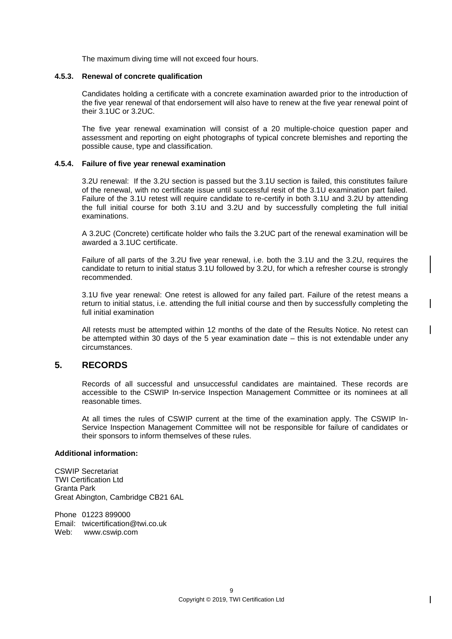The maximum diving time will not exceed four hours.

#### **4.5.3. Renewal of concrete qualification**

Candidates holding a certificate with a concrete examination awarded prior to the introduction of the five year renewal of that endorsement will also have to renew at the five year renewal point of their 3.1UC or 3.2UC.

The five year renewal examination will consist of a 20 multiple-choice question paper and assessment and reporting on eight photographs of typical concrete blemishes and reporting the possible cause, type and classification.

#### **4.5.4. Failure of five year renewal examination**

3.2U renewal: If the 3.2U section is passed but the 3.1U section is failed, this constitutes failure of the renewal, with no certificate issue until successful resit of the 3.1U examination part failed. Failure of the 3.1U retest will require candidate to re-certify in both 3.1U and 3.2U by attending the full initial course for both 3.1U and 3.2U and by successfully completing the full initial examinations.

A 3.2UC (Concrete) certificate holder who fails the 3.2UC part of the renewal examination will be awarded a 3.1UC certificate.

Failure of all parts of the 3.2U five year renewal, i.e. both the 3.1U and the 3.2U, requires the candidate to return to initial status 3.1U followed by 3.2U, for which a refresher course is strongly recommended.

3.1U five year renewal: One retest is allowed for any failed part. Failure of the retest means a return to initial status, i.e. attending the full initial course and then by successfully completing the full initial examination

All retests must be attempted within 12 months of the date of the Results Notice. No retest can be attempted within 30 days of the 5 year examination date – this is not extendable under any circumstances.

#### **5. RECORDS**

Records of all successful and unsuccessful candidates are maintained. These records are accessible to the CSWIP In-service Inspection Management Committee or its nominees at all reasonable times.

At all times the rules of CSWIP current at the time of the examination apply. The CSWIP In-Service Inspection Management Committee will not be responsible for failure of candidates or their sponsors to inform themselves of these rules.

#### **Additional information:**

CSWIP Secretariat TWI Certification Ltd Granta Park Great Abington, Cambridge CB21 6AL

Phone 01223 899000 Email: twicertification@twi.co.uk Web: www.cswip.com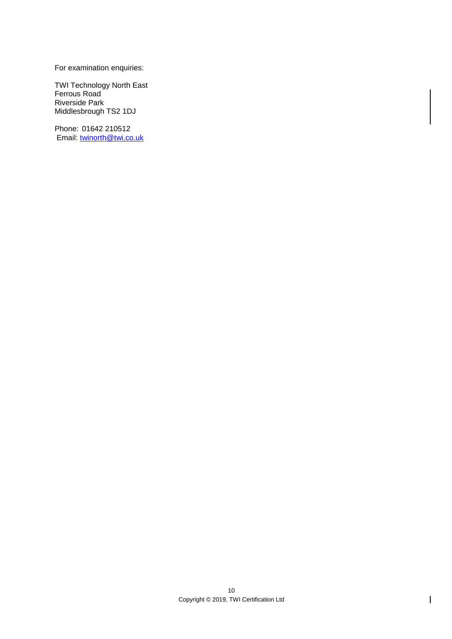For examination enquiries:

TWI Technology North East Ferrous Road Riverside Park Middlesbrough TS2 1DJ

Phone: 01642 210512 Email: [twinorth@twi.co.uk](mailto:twinorth@twi.co.uk)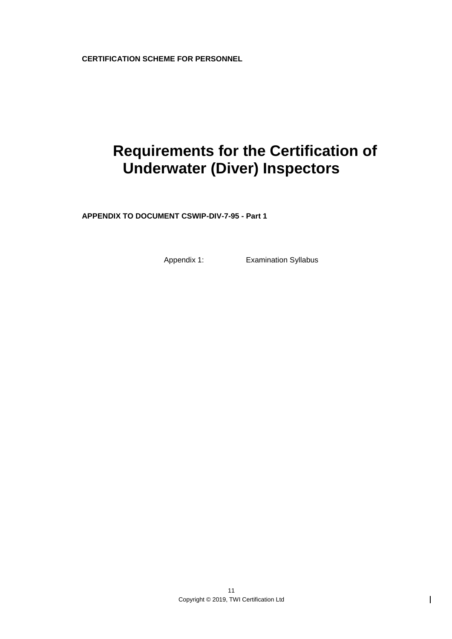**CERTIFICATION SCHEME FOR PERSONNEL**

# **Requirements for the Certification of Underwater (Diver) Inspectors**

**APPENDIX TO DOCUMENT CSWIP-DIV-7-95 - Part 1**

Appendix 1: Examination Syllabus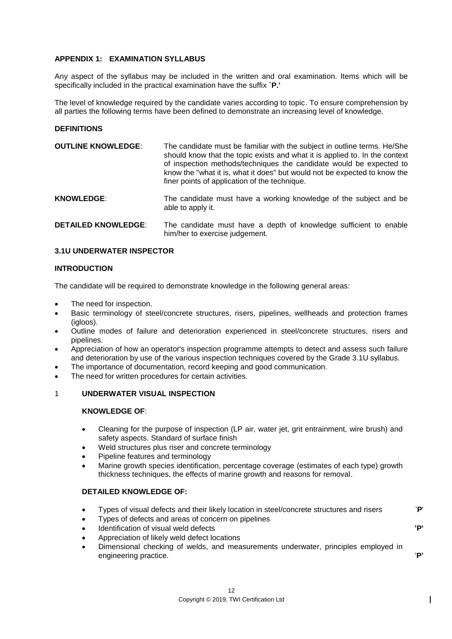#### **APPENDIX 1: EXAMINATION SYLLABUS**

Any aspect of the syllabus may be included in the written and oral examination. Items which will be specifically included in the practical examination have the suffix **`P.'**

The level of knowledge required by the candidate varies according to topic. To ensure comprehension by all parties the following terms have been defined to demonstrate an increasing level of knowledge.

#### **DEFINITIONS**

| <b>OUTLINE KNOWLEDGE:</b>  | The candidate must be familiar with the subject in outline terms. He/She<br>should know that the topic exists and what it is applied to. In the context<br>of inspection methods/techniques the candidate would be expected to<br>know the "what it is, what it does" but would not be expected to know the<br>finer points of application of the technique. |
|----------------------------|--------------------------------------------------------------------------------------------------------------------------------------------------------------------------------------------------------------------------------------------------------------------------------------------------------------------------------------------------------------|
| <b>KNOWLEDGE:</b>          | The candidate must have a working knowledge of the subject and be<br>able to apply it.                                                                                                                                                                                                                                                                       |
| <b>DETAILED KNOWLEDGE:</b> | The candidate must have a depth of knowledge sufficient to enable<br>him/her to exercise judgement.                                                                                                                                                                                                                                                          |

#### **3.1U UNDERWATER INSPECTOR**

#### **INTRODUCTION**

The candidate will be required to demonstrate knowledge in the following general areas:

- The need for inspection.
- Basic terminology of steel/concrete structures, risers, pipelines, wellheads and protection frames (igloos).
- Outline modes of failure and deterioration experienced in steel/concrete structures, risers and pipelines.
- Appreciation of how an operator's inspection programme attempts to detect and assess such failure and deterioration by use of the various inspection techniques covered by the Grade 3.1U syllabus.
- The importance of documentation, record keeping and good communication.
- The need for written procedures for certain activities.

#### 1 **UNDERWATER VISUAL INSPECTION**

#### **KNOWLEDGE OF**:

- Cleaning for the purpose of inspection (LP air, water jet, grit entrainment, wire brush) and safety aspects. Standard of surface finish
- Weld structures plus riser and concrete terminology
- Pipeline features and terminology
- Marine growth species identification, percentage coverage (estimates of each type) growth thickness techniques, the effects of marine growth and reasons for removal.

#### **DETAILED KNOWLEDGE OF:**

- Types of visual defects and their likely location in steel/concrete structures and risers '**P**'
- Types of defects and areas of concern on pipelines
- Identification of visual weld defects **'P'**
- Appreciation of likely weld defect locations
- Dimensional checking of welds, and measurements underwater, principles employed in engineering practice. **P**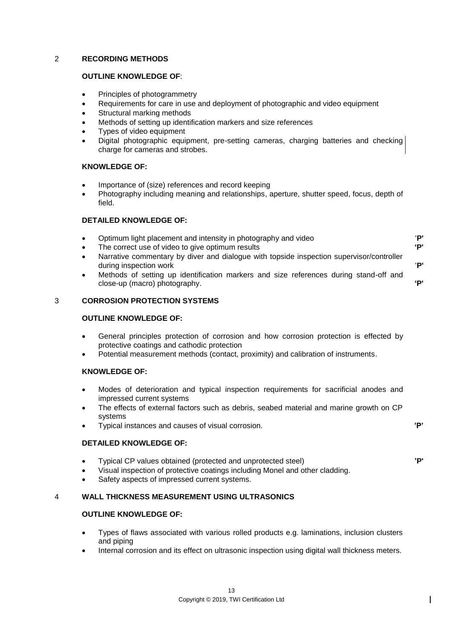#### 2 **RECORDING METHODS**

#### **OUTLINE KNOWLEDGE OF**:

- Principles of photogrammetry
- Requirements for care in use and deployment of photographic and video equipment
- Structural marking methods
- Methods of setting up identification markers and size references
- Types of video equipment
- Digital photographic equipment, pre-setting cameras, charging batteries and checking charge for cameras and strobes.

#### **KNOWLEDGE OF:**

- Importance of (size) references and record keeping
- Photography including meaning and relationships, aperture, shutter speed, focus, depth of field.

#### **DETAILED KNOWLEDGE OF:**

- Optimum light placement and intensity in photography and video '**P'**
- The correct use of video to give optimum results **'P'**
- Narrative commentary by diver and dialogue with topside inspection supervisor/controller during inspection work '**P'**
- Methods of setting up identification markers and size references during stand-off and close-up (macro) photography. **'P'**

#### 3 **CORROSION PROTECTION SYSTEMS**

#### **OUTLINE KNOWLEDGE OF:**

- General principles protection of corrosion and how corrosion protection is effected by protective coatings and cathodic protection
- Potential measurement methods (contact, proximity) and calibration of instruments.

#### **KNOWLEDGE OF:**

- Modes of deterioration and typical inspection requirements for sacrificial anodes and impressed current systems
- The effects of external factors such as debris, seabed material and marine growth on CP systems
- Typical instances and causes of visual corrosion. **'P'**

#### **DETAILED KNOWLEDGE OF:**

- Typical CP values obtained (protected and unprotected steel) **'P'**
- Visual inspection of protective coatings including Monel and other cladding.
- Safety aspects of impressed current systems.

#### 4 **WALL THICKNESS MEASUREMENT USING ULTRASONICS**

#### **OUTLINE KNOWLEDGE OF:**

- Types of flaws associated with various rolled products e.g. laminations, inclusion clusters and piping
- Internal corrosion and its effect on ultrasonic inspection using digital wall thickness meters.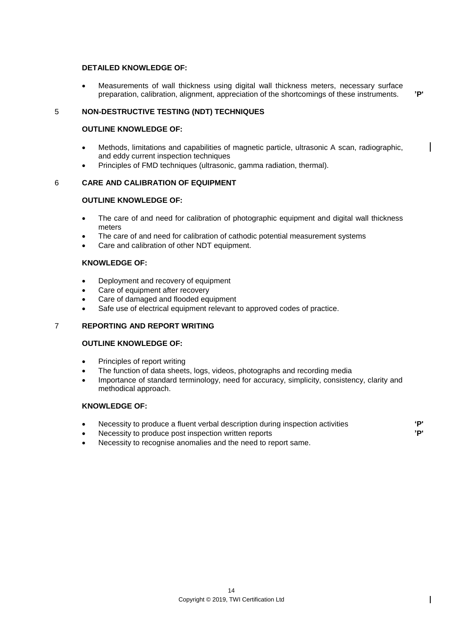#### **DETAILED KNOWLEDGE OF:**

 Measurements of wall thickness using digital wall thickness meters, necessary surface preparation, calibration, alignment, appreciation of the shortcomings of these instruments. **'P'**

#### 5 **NON-DESTRUCTIVE TESTING (NDT) TECHNIQUES**

#### **OUTLINE KNOWLEDGE OF:**

- Methods, limitations and capabilities of magnetic particle, ultrasonic A scan, radiographic, and eddy current inspection techniques
- Principles of FMD techniques (ultrasonic, gamma radiation, thermal).

#### 6 **CARE AND CALIBRATION OF EQUIPMENT**

#### **OUTLINE KNOWLEDGE OF:**

- The care of and need for calibration of photographic equipment and digital wall thickness meters
- The care of and need for calibration of cathodic potential measurement systems
- Care and calibration of other NDT equipment.

#### **KNOWLEDGE OF:**

- Deployment and recovery of equipment
- Care of equipment after recovery
- Care of damaged and flooded equipment
- Safe use of electrical equipment relevant to approved codes of practice.

#### 7 **REPORTING AND REPORT WRITING**

#### **OUTLINE KNOWLEDGE OF:**

- Principles of report writing
- The function of data sheets, logs, videos, photographs and recording media
- Importance of standard terminology, need for accuracy, simplicity, consistency, clarity and methodical approach.

#### **KNOWLEDGE OF:**

- Necessity to produce a fluent verbal description during inspection activities **'P'**
- Necessity to produce post inspection written reports **'P'**
- Necessity to recognise anomalies and the need to report same.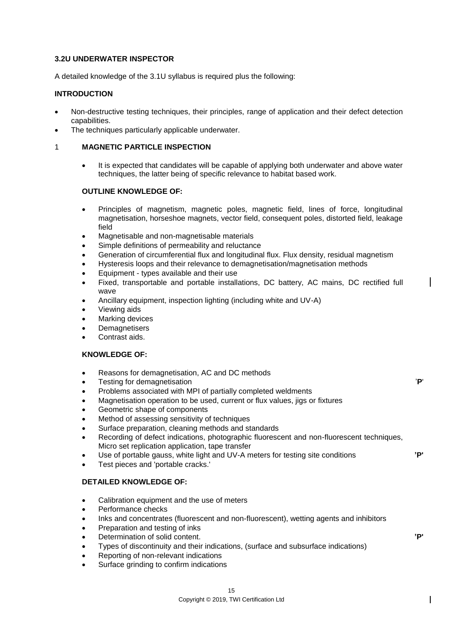#### **3.2U UNDERWATER INSPECTOR**

A detailed knowledge of the 3.1U syllabus is required plus the following:

#### **INTRODUCTION**

- Non-destructive testing techniques, their principles, range of application and their defect detection capabilities.
- The techniques particularly applicable underwater.

#### 1 **MAGNETIC PARTICLE INSPECTION**

 It is expected that candidates will be capable of applying both underwater and above water techniques, the latter being of specific relevance to habitat based work.

#### **OUTLINE KNOWLEDGE OF:**

- Principles of magnetism, magnetic poles, magnetic field, lines of force, longitudinal magnetisation, horseshoe magnets, vector field, consequent poles, distorted field, leakage field
- Magnetisable and non-magnetisable materials
- Simple definitions of permeability and reluctance
- Generation of circumferential flux and longitudinal flux. Flux density, residual magnetism
- Hysteresis loops and their relevance to demagnetisation/magnetisation methods
- Equipment types available and their use
- Fixed, transportable and portable installations, DC battery, AC mains, DC rectified full wave
- Ancillary equipment, inspection lighting (including white and UV-A)
- Viewing aids
- Marking devices
- **Demagnetisers**
- Contrast aids.

#### **KNOWLEDGE OF:**

- Reasons for demagnetisation, AC and DC methods
- Testing for demagnetisation '**P**'
- Problems associated with MPI of partially completed weldments
- Magnetisation operation to be used, current or flux values, jigs or fixtures
- Geometric shape of components
- Method of assessing sensitivity of techniques
- Surface preparation, cleaning methods and standards
- Recording of defect indications, photographic fluorescent and non-fluorescent techniques, Micro set replication application, tape transfer
- Use of portable gauss, white light and UV-A meters for testing site conditions **'P'**
- Test pieces and 'portable cracks.'

## **DETAILED KNOWLEDGE OF:**

- Calibration equipment and the use of meters
- Performance checks
- Inks and concentrates (fluorescent and non-fluorescent), wetting agents and inhibitors
- Preparation and testing of inks
- Determination of solid content. **'P'**
- Types of discontinuity and their indications, (surface and subsurface indications)
- Reporting of non-relevant indications
- Surface grinding to confirm indications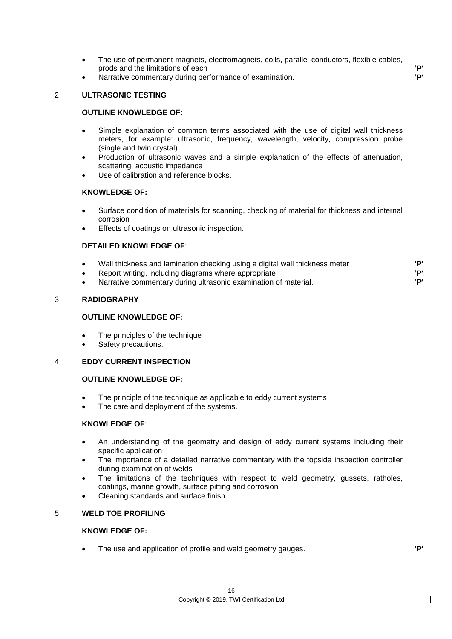- The use of permanent magnets, electromagnets, coils, parallel conductors, flexible cables, prods and the limitations of each **'P'**
- Narrative commentary during performance of examination. **'P'**

#### 2 **ULTRASONIC TESTING**

#### **OUTLINE KNOWLEDGE OF:**

- Simple explanation of common terms associated with the use of digital wall thickness meters, for example: ultrasonic, frequency, wavelength, velocity, compression probe (single and twin crystal)
- Production of ultrasonic waves and a simple explanation of the effects of attenuation, scattering, acoustic impedance
- Use of calibration and reference blocks.

#### **KNOWLEDGE OF:**

- Surface condition of materials for scanning, checking of material for thickness and internal corrosion
- Effects of coatings on ultrasonic inspection.

#### **DETAILED KNOWLEDGE OF**:

 Wall thickness and lamination checking using a digital wall thickness meter **'P'** Report writing, including diagrams where appropriate **'P'** Narrative commentary during ultrasonic examination of material. '**P'**

#### 3 **RADIOGRAPHY**

#### **OUTLINE KNOWLEDGE OF:**

- The principles of the technique
- Safety precautions.

#### 4 **EDDY CURRENT INSPECTION**

#### **OUTLINE KNOWLEDGE OF:**

- The principle of the technique as applicable to eddy current systems
- The care and deployment of the systems.

#### **KNOWLEDGE OF**:

- An understanding of the geometry and design of eddy current systems including their specific application
- The importance of a detailed narrative commentary with the topside inspection controller during examination of welds
- The limitations of the techniques with respect to weld geometry, gussets, ratholes, coatings, marine growth, surface pitting and corrosion
- Cleaning standards and surface finish.

#### 5 **WELD TOE PROFILING**

#### **KNOWLEDGE OF:**

The use and application of profile and weld geometry gauges. **'P'**